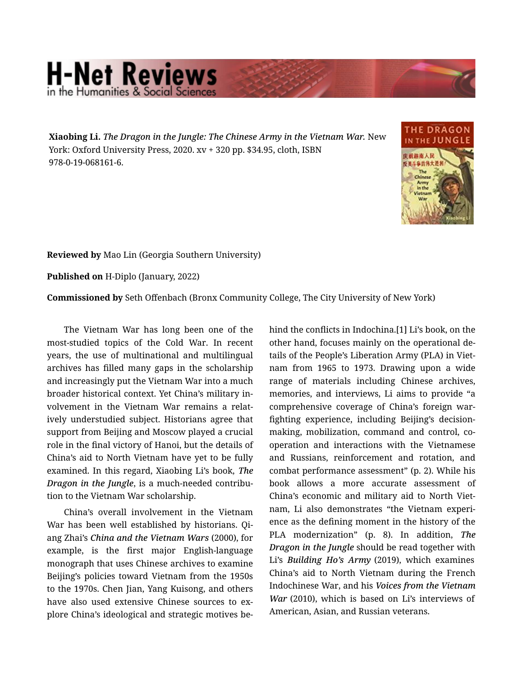## **H-Net Reviews** in the Humanities & Social Scier

Xiaobing Li. *The Dragon in the Jungle: The Chinese Army in the Vietnam War.* New York: Oxford University Press, 2020. xv + 320 pp. \$34.95, cloth, ISBN 978-0-19-068161-6.



Reviewed by Mao Lin (Georgia Southern University)

Published on H-Diplo (January, 2022)

Commissioned by Seth Offenbach (Bronx Community College, The City University of New York)

The Vietnam War has long been one of the most-studied topics of the Cold War. In recent years, the use of multinational and multilingual archives has filled many gaps in the scholarship and increasingly put the Vietnam War into a much broader historical context. Yet China's military in‐ volvement in the Vietnam War remains a relat‐ ively understudied subject. Historians agree that support from Beijing and Moscow played a crucial role in the final victory of Hanoi, but the details of China's aid to North Vietnam have yet to be fully examined. In this regard, Xiaobing Li's book, *The Dragon in the Jungle*, is a much-needed contribu‐ tion to the Vietnam War scholarship.

China's overall involvement in the Vietnam War has been well established by historians. Qi‐ ang Zhai's *China and the Vietnam Wars* (2000), for example, is the first major English-language monograph that uses Chinese archives to examine Beijing's policies toward Vietnam from the 1950s to the 1970s. Chen Jian, Yang Kuisong, and others have also used extensive Chinese sources to explore China's ideological and strategic motives be‐

hind the conflicts in Indochina.[1] Li's book, on the other hand, focuses mainly on the operational de‐ tails of the People's Liberation Army (PLA) in Viet‐ nam from 1965 to 1973. Drawing upon a wide range of materials including Chinese archives, memories, and interviews, Li aims to provide "a comprehensive coverage of China's foreign warfighting experience, including Beijing's decisionmaking, mobilization, command and control, co‐ operation and interactions with the Vietnamese and Russians, reinforcement and rotation, and combat performance assessment" (p. 2). While his book allows a more accurate assessment of China's economic and military aid to North Viet‐ nam, Li also demonstrates "the Vietnam experi‐ ence as the defining moment in the history of the PLA modernization" (p. 8). In addition, *The Dragon in the Jungle* should be read together with Li's *Building Ho's Army* (2019), which examines China's aid to North Vietnam during the French Indochinese War, and his *Voices from the Vietnam War* (2010), which is based on Li's interviews of American, Asian, and Russian veterans.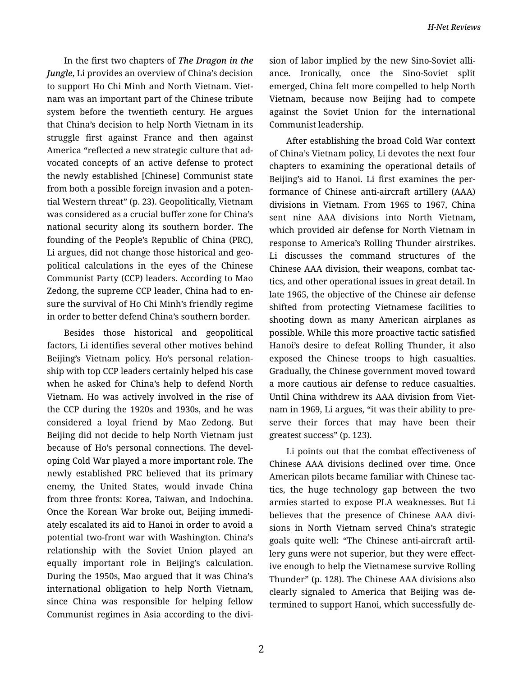In the first two chapters of *The Dragon in the Jungle*, Li provides an overview of China's decision to support Ho Chi Minh and North Vietnam. Viet‐ nam was an important part of the Chinese tribute system before the twentieth century. He argues that China's decision to help North Vietnam in its struggle first against France and then against America "reflected a new strategic culture that ad‐ vocated concepts of an active defense to protect the newly established [Chinese] Communist state from both a possible foreign invasion and a poten‐ tial Western threat" (p. 23). Geopolitically, Vietnam was considered as a crucial buffer zone for China's national security along its southern border. The founding of the People's Republic of China (PRC), Li argues, did not change those historical and geo‐ political calculations in the eyes of the Chinese Communist Party (CCP) leaders. According to Mao Zedong, the supreme CCP leader, China had to en‐ sure the survival of Ho Chi Minh's friendly regime in order to better defend China's southern border.

Besides those historical and geopolitical factors, Li identifies several other motives behind Beijing's Vietnam policy. Ho's personal relation‐ ship with top CCP leaders certainly helped his case when he asked for China's help to defend North Vietnam. Ho was actively involved in the rise of the CCP during the 1920s and 1930s, and he was considered a loyal friend by Mao Zedong. But Beijing did not decide to help North Vietnam just because of Ho's personal connections. The devel‐ oping Cold War played a more important role. The newly established PRC believed that its primary enemy, the United States, would invade China from three fronts: Korea, Taiwan, and Indochina. Once the Korean War broke out, Beijing immedi‐ ately escalated its aid to Hanoi in order to avoid a potential two-front war with Washington. China's relationship with the Soviet Union played an equally important role in Beijing's calculation. During the 1950s, Mao argued that it was China's international obligation to help North Vietnam, since China was responsible for helping fellow Communist regimes in Asia according to the divi‐

sion of labor implied by the new Sino-Soviet alli‐ ance. Ironically, once the Sino-Soviet split emerged, China felt more compelled to help North Vietnam, because now Beijing had to compete against the Soviet Union for the international Communist leadership.

After establishing the broad Cold War context of China's Vietnam policy, Li devotes the next four chapters to examining the operational details of Beijing's aid to Hanoi. Li first examines the per‐ formance of Chinese anti-aircraft artillery (AAA) divisions in Vietnam. From 1965 to 1967, China sent nine AAA divisions into North Vietnam, which provided air defense for North Vietnam in response to America's Rolling Thunder airstrikes. Li discusses the command structures of the Chinese AAA division, their weapons, combat tac‐ tics, and other operational issues in great detail. In late 1965, the objective of the Chinese air defense shifted from protecting Vietnamese facilities to shooting down as many American airplanes as possible. While this more proactive tactic satisfied Hanoi's desire to defeat Rolling Thunder, it also exposed the Chinese troops to high casualties. Gradually, the Chinese government moved toward a more cautious air defense to reduce casualties. Until China withdrew its AAA division from Viet‐ nam in 1969, Li argues, "it was their ability to pre‐ serve their forces that may have been their greatest success" (p. 123).

Li points out that the combat effectiveness of Chinese AAA divisions declined over time. Once American pilots became familiar with Chinese tac‐ tics, the huge technology gap between the two armies started to expose PLA weaknesses. But Li believes that the presence of Chinese AAA divi‐ sions in North Vietnam served China's strategic goals quite well: "The Chinese anti-aircraft artil‐ lery guns were not superior, but they were effect‐ ive enough to help the Vietnamese survive Rolling Thunder" (p. 128). The Chinese AAA divisions also clearly signaled to America that Beijing was de‐ termined to support Hanoi, which successfully de‐

2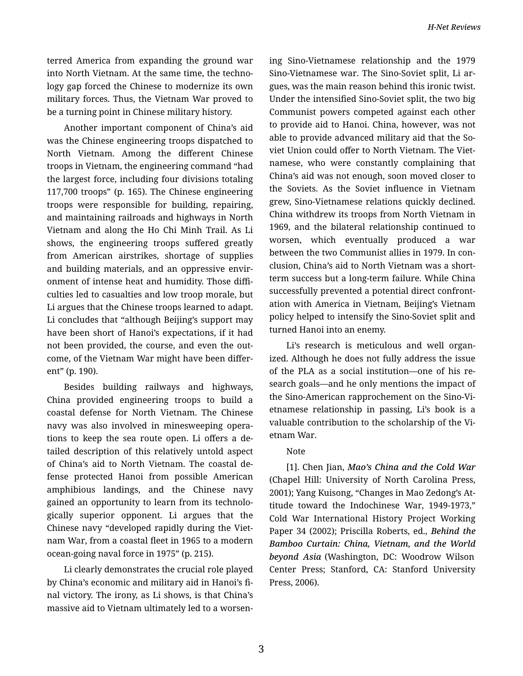terred America from expanding the ground war into North Vietnam. At the same time, the techno‐ logy gap forced the Chinese to modernize its own military forces. Thus, the Vietnam War proved to be a turning point in Chinese military history.

Another important component of China's aid was the Chinese engineering troops dispatched to North Vietnam. Among the different Chinese troops in Vietnam, the engineering command "had the largest force, including four divisions totaling 117,700 troops" (p. 165). The Chinese engineering troops were responsible for building, repairing, and maintaining railroads and highways in North Vietnam and along the Ho Chi Minh Trail. As Li shows, the engineering troops suffered greatly from American airstrikes, shortage of supplies and building materials, and an oppressive envir‐ onment of intense heat and humidity. Those diffi‐ culties led to casualties and low troop morale, but Li argues that the Chinese troops learned to adapt. Li concludes that "although Beijing's support may have been short of Hanoi's expectations, if it had not been provided, the course, and even the out‐ come, of the Vietnam War might have been differ‐ ent" (p. 190).

Besides building railways and highways, China provided engineering troops to build a coastal defense for North Vietnam. The Chinese navy was also involved in minesweeping opera‐ tions to keep the sea route open. Li offers a de‐ tailed description of this relatively untold aspect of China's aid to North Vietnam. The coastal de‐ fense protected Hanoi from possible American amphibious landings, and the Chinese navy gained an opportunity to learn from its technolo‐ gically superior opponent. Li argues that the Chinese navy "developed rapidly during the Viet‐ nam War, from a coastal fleet in 1965 to a modern ocean-going naval force in 1975" (p. 215).

Li clearly demonstrates the crucial role played by China's economic and military aid in Hanoi's fi‐ nal victory. The irony, as Li shows, is that China's massive aid to Vietnam ultimately led to a worsen‐ ing Sino-Vietnamese relationship and the 1979 Sino-Vietnamese war. The Sino-Soviet split, Li ar‐ gues, was the main reason behind this ironic twist. Under the intensified Sino-Soviet split, the two big Communist powers competed against each other to provide aid to Hanoi. China, however, was not able to provide advanced military aid that the So‐ viet Union could offer to North Vietnam. The Viet‐ namese, who were constantly complaining that China's aid was not enough, soon moved closer to the Soviets. As the Soviet influence in Vietnam grew, Sino-Vietnamese relations quickly declined. China withdrew its troops from North Vietnam in 1969, and the bilateral relationship continued to worsen, which eventually produced a war between the two Communist allies in 1979. In con‐ clusion, China's aid to North Vietnam was a shortterm success but a long-term failure. While China successfully prevented a potential direct confront‐ ation with America in Vietnam, Beijing's Vietnam policy helped to intensify the Sino-Soviet split and turned Hanoi into an enemy.

Li's research is meticulous and well organ‐ ized. Although he does not fully address the issue of the PLA as a social institution—one of his re‐ search goals—and he only mentions the impact of the Sino-American rapprochement on the Sino-Vi‐ etnamese relationship in passing, Li's book is a valuable contribution to the scholarship of the Vi‐ etnam War.

## Note

[1]. Chen Jian, *Mao's China and the Cold War* (Chapel Hill: University of North Carolina Press, 2001); Yang Kuisong, "Changes in Mao Zedong's At‐ titude toward the Indochinese War, 1949-1973," Cold War International History Project Working Paper 34 (2002); Priscilla Roberts, ed., *Behind the Bamboo Curtain: China, Vietnam, and the World beyond Asia* (Washington, DC: Woodrow Wilson Center Press; Stanford, CA: Stanford University Press, 2006).

3